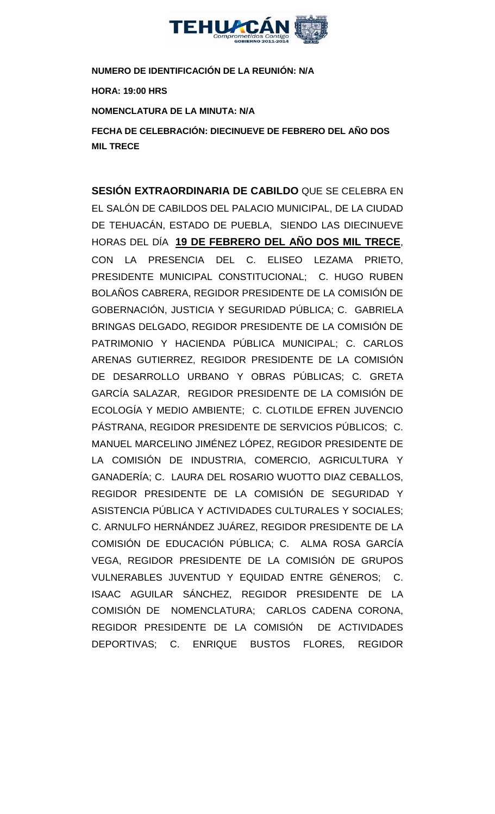

**NUMERO DE IDENTIFICACIÓN DE LA REUNIÓN: N/A HORA: 19:00 HRS NOMENCLATURA DE LA MINUTA: N/A FECHA DE CELEBRACIÓN: DIECINUEVE DE FEBRERO DEL AÑO DOS** 

**MIL TRECE** 

**SESIÓN EXTRAORDINARIA DE CABILDO** QUE SE CELEBRA EN EL SALÓN DE CABILDOS DEL PALACIO MUNICIPAL, DE LA CIUDAD DE TEHUACÁN, ESTADO DE PUEBLA, SIENDO LAS DIECINUEVE HORAS DEL DÍA **19 DE FEBRERO DEL AÑO DOS MIL TRECE**, CON LA PRESENCIA DEL C. ELISEO LEZAMA PRIETO, PRESIDENTE MUNICIPAL CONSTITUCIONAL; C. HUGO RUBEN BOLAÑOS CABRERA, REGIDOR PRESIDENTE DE LA COMISIÓN DE GOBERNACIÓN, JUSTICIA Y SEGURIDAD PÚBLICA; C. GABRIELA BRINGAS DELGADO, REGIDOR PRESIDENTE DE LA COMISIÓN DE PATRIMONIO Y HACIENDA PÚBLICA MUNICIPAL; C. CARLOS ARENAS GUTIERREZ, REGIDOR PRESIDENTE DE LA COMISIÓN DE DESARROLLO URBANO Y OBRAS PÚBLICAS; C. GRETA GARCÍA SALAZAR, REGIDOR PRESIDENTE DE LA COMISIÓN DE ECOLOGÍA Y MEDIO AMBIENTE; C. CLOTILDE EFREN JUVENCIO PÁSTRANA, REGIDOR PRESIDENTE DE SERVICIOS PÚBLICOS; C. MANUEL MARCELINO JIMÉNEZ LÓPEZ, REGIDOR PRESIDENTE DE LA COMISIÓN DE INDUSTRIA, COMERCIO, AGRICULTURA Y GANADERÍA; C. LAURA DEL ROSARIO WUOTTO DIAZ CEBALLOS, REGIDOR PRESIDENTE DE LA COMISIÓN DE SEGURIDAD Y ASISTENCIA PÚBLICA Y ACTIVIDADES CULTURALES Y SOCIALES; C. ARNULFO HERNÁNDEZ JUÁREZ, REGIDOR PRESIDENTE DE LA COMISIÓN DE EDUCACIÓN PÚBLICA; C. ALMA ROSA GARCÍA VEGA, REGIDOR PRESIDENTE DE LA COMISIÓN DE GRUPOS VULNERABLES JUVENTUD Y EQUIDAD ENTRE GÉNEROS; C. ISAAC AGUILAR SÁNCHEZ, REGIDOR PRESIDENTE DE LA COMISIÓN DE NOMENCLATURA; CARLOS CADENA CORONA, REGIDOR PRESIDENTE DE LA COMISIÓN DE ACTIVIDADES DEPORTIVAS; C. ENRIQUE BUSTOS FLORES, REGIDOR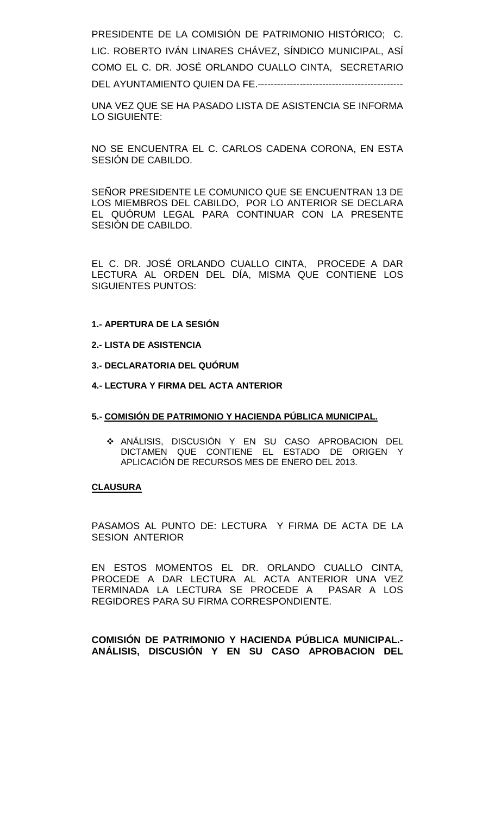PRESIDENTE DE LA COMISIÓN DE PATRIMONIO HISTÓRICO; C. LIC. ROBERTO IVÁN LINARES CHÁVEZ, SÍNDICO MUNICIPAL, ASÍ COMO EL C. DR. JOSÉ ORLANDO CUALLO CINTA, SECRETARIO DEL AYUNTAMIENTO QUIEN DA FE.---------------------------------------------

UNA VEZ QUE SE HA PASADO LISTA DE ASISTENCIA SE INFORMA LO SIGUIENTE:

NO SE ENCUENTRA EL C. CARLOS CADENA CORONA, EN ESTA SESIÓN DE CABILDO.

SEÑOR PRESIDENTE LE COMUNICO QUE SE ENCUENTRAN 13 DE LOS MIEMBROS DEL CABILDO, POR LO ANTERIOR SE DECLARA EL QUÓRUM LEGAL PARA CONTINUAR CON LA PRESENTE SESIÓN DE CABILDO.

EL C. DR. JOSÉ ORLANDO CUALLO CINTA, PROCEDE A DAR LECTURA AL ORDEN DEL DÍA, MISMA QUE CONTIENE LOS SIGUIENTES PUNTOS:

#### **1.- APERTURA DE LA SESIÓN**

**2.- LISTA DE ASISTENCIA**

**3.- DECLARATORIA DEL QUÓRUM**

**4.- LECTURA Y FIRMA DEL ACTA ANTERIOR**

#### **5.- COMISIÓN DE PATRIMONIO Y HACIENDA PÚBLICA MUNICIPAL.**

 ANÁLISIS, DISCUSIÓN Y EN SU CASO APROBACION DEL DICTAMEN QUE CONTIENE EL ESTADO DE ORIGEN Y APLICACIÓN DE RECURSOS MES DE ENERO DEL 2013.

#### **CLAUSURA**

PASAMOS AL PUNTO DE: LECTURA Y FIRMA DE ACTA DE LA SESION ANTERIOR

EN ESTOS MOMENTOS EL DR. ORLANDO CUALLO CINTA, PROCEDE A DAR LECTURA AL ACTA ANTERIOR UNA VEZ TERMINADA LA LECTURA SE PROCEDE A PASAR A LOS REGIDORES PARA SU FIRMA CORRESPONDIENTE.

**COMISIÓN DE PATRIMONIO Y HACIENDA PÚBLICA MUNICIPAL.- ANÁLISIS, DISCUSIÓN Y EN SU CASO APROBACION DEL**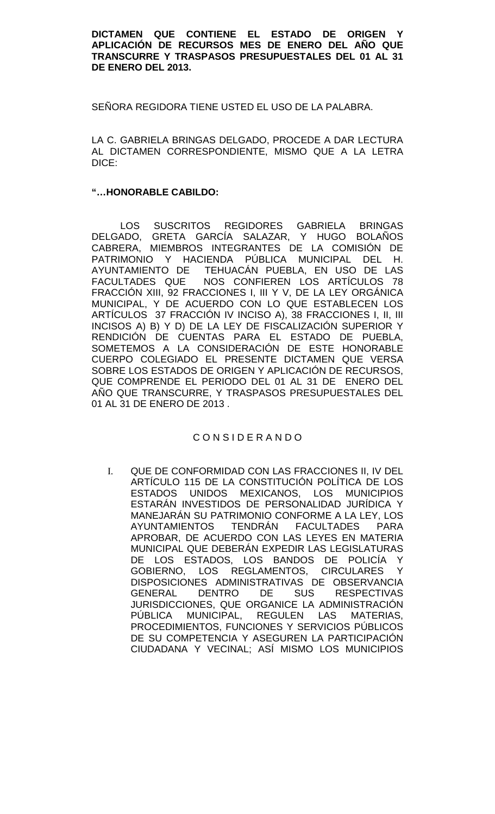#### **DICTAMEN QUE CONTIENE EL ESTADO DE ORIGEN Y APLICACIÓN DE RECURSOS MES DE ENERO DEL AÑO QUE TRANSCURRE Y TRASPASOS PRESUPUESTALES DEL 01 AL 31 DE ENERO DEL 2013.**

SEÑORA REGIDORA TIENE USTED EL USO DE LA PALABRA.

LA C. GABRIELA BRINGAS DELGADO, PROCEDE A DAR LECTURA AL DICTAMEN CORRESPONDIENTE, MISMO QUE A LA LETRA DICE:

### **"…HONORABLE CABILDO:**

LOS SUSCRITOS REGIDORES GABRIELA BRINGAS DELGADO, GRETA GARCÍA SALAZAR, Y HUGO BOLAÑOS CABRERA, MIEMBROS INTEGRANTES DE LA COMISIÓN DE PATRIMONIO Y HACIENDA PÚBLICA MUNICIPAL DEL H. AYUNTAMIENTO DE TEHUACÁN PUEBLA, EN USO DE LAS FACULTADES QUE NOS CONFIEREN LOS ARTÍCULOS 78 FRACCIÓN XIII, 92 FRACCIONES I, III Y V, DE LA LEY ORGÁNICA MUNICIPAL, Y DE ACUERDO CON LO QUE ESTABLECEN LOS ARTÍCULOS 37 FRACCIÓN IV INCISO A), 38 FRACCIONES I, II, III INCISOS A) B) Y D) DE LA LEY DE FISCALIZACIÓN SUPERIOR Y RENDICIÓN DE CUENTAS PARA EL ESTADO DE PUEBLA, SOMETEMOS A LA CONSIDERACIÓN DE ESTE HONORABLE CUERPO COLEGIADO EL PRESENTE DICTAMEN QUE VERSA SOBRE LOS ESTADOS DE ORIGEN Y APLICACIÓN DE RECURSOS, QUE COMPRENDE EL PERIODO DEL 01 AL 31 DE ENERO DEL AÑO QUE TRANSCURRE, Y TRASPASOS PRESUPUESTALES DEL 01 AL 31 DE ENERO DE 2013 .

# C O N S I D E R A N D O

I. QUE DE CONFORMIDAD CON LAS FRACCIONES II, IV DEL ARTÍCULO 115 DE LA CONSTITUCIÓN POLÍTICA DE LOS ESTADOS UNIDOS MEXICANOS, LOS MUNICIPIOS ESTARÁN INVESTIDOS DE PERSONALIDAD JURÍDICA Y MANEJARÁN SU PATRIMONIO CONFORME A LA LEY, LOS AYUNTAMIENTOS TENDRÁN FACULTADES PARA APROBAR, DE ACUERDO CON LAS LEYES EN MATERIA MUNICIPAL QUE DEBERÁN EXPEDIR LAS LEGISLATURAS DE LOS ESTADOS, LOS BANDOS DE POLICÍA Y GOBIERNO, LOS REGLAMENTOS, CIRCULARES Y DISPOSICIONES ADMINISTRATIVAS DE OBSERVANCIA GENERAL DENTRO DE SUS RESPECTIVAS JURISDICCIONES, QUE ORGANICE LA ADMINISTRACIÓN PÚBLICA MUNICIPAL, REGULEN LAS MATERIAS, PROCEDIMIENTOS, FUNCIONES Y SERVICIOS PÚBLICOS DE SU COMPETENCIA Y ASEGUREN LA PARTICIPACIÓN CIUDADANA Y VECINAL; ASÍ MISMO LOS MUNICIPIOS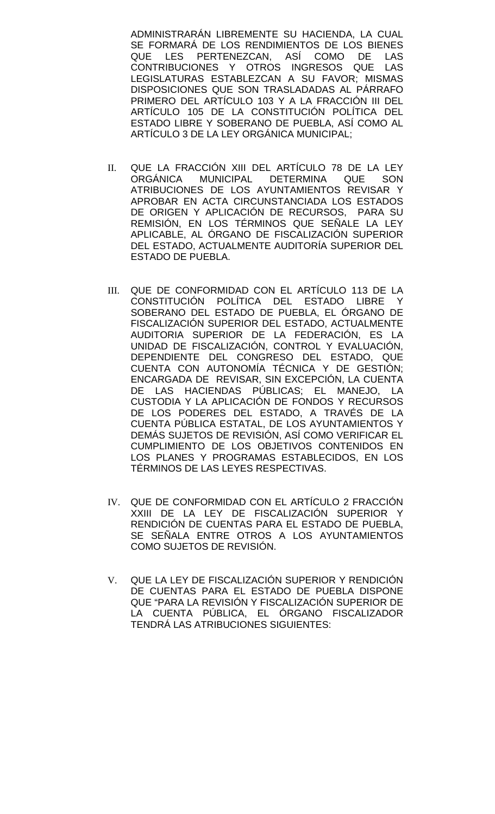ADMINISTRARÁN LIBREMENTE SU HACIENDA, LA CUAL SE FORMARÁ DE LOS RENDIMIENTOS DE LOS BIENES QUE LES PERTENEZCAN, ASÍ COMO DE LAS CONTRIBUCIONES Y OTROS INGRESOS QUE LAS LEGISLATURAS ESTABLEZCAN A SU FAVOR; MISMAS DISPOSICIONES QUE SON TRASLADADAS AL PÁRRAFO PRIMERO DEL ARTÍCULO 103 Y A LA FRACCIÓN III DEL ARTÍCULO 105 DE LA CONSTITUCIÓN POLÍTICA DEL ESTADO LIBRE Y SOBERANO DE PUEBLA, ASÍ COMO AL ARTÍCULO 3 DE LA LEY ORGÁNICA MUNICIPAL;

- II. QUE LA FRACCIÓN XIII DEL ARTÍCULO 78 DE LA LEY ORGÁNICA MUNICIPAL DETERMINA QUE SON ATRIBUCIONES DE LOS AYUNTAMIENTOS REVISAR Y APROBAR EN ACTA CIRCUNSTANCIADA LOS ESTADOS DE ORIGEN Y APLICACIÓN DE RECURSOS, PARA SU REMISIÓN, EN LOS TÉRMINOS QUE SEÑALE LA LEY APLICABLE, AL ÓRGANO DE FISCALIZACIÓN SUPERIOR DEL ESTADO, ACTUALMENTE AUDITORÍA SUPERIOR DEL ESTADO DE PUEBLA.
- III. QUE DE CONFORMIDAD CON EL ARTÍCULO 113 DE LA CONSTITUCIÓN POLÍTICA DEL ESTADO LIBRE Y SOBERANO DEL ESTADO DE PUEBLA, EL ÓRGANO DE FISCALIZACIÓN SUPERIOR DEL ESTADO, ACTUALMENTE AUDITORIA SUPERIOR DE LA FEDERACIÓN, ES LA UNIDAD DE FISCALIZACIÓN, CONTROL Y EVALUACIÓN, DEPENDIENTE DEL CONGRESO DEL ESTADO, QUE CUENTA CON AUTONOMÍA TÉCNICA Y DE GESTIÓN; ENCARGADA DE REVISAR, SIN EXCEPCIÓN, LA CUENTA DE LAS HACIENDAS PÚBLICAS; EL MANEJO, LA CUSTODIA Y LA APLICACIÓN DE FONDOS Y RECURSOS DE LOS PODERES DEL ESTADO, A TRAVÉS DE LA CUENTA PÚBLICA ESTATAL, DE LOS AYUNTAMIENTOS Y DEMÁS SUJETOS DE REVISIÓN, ASÍ COMO VERIFICAR EL CUMPLIMIENTO DE LOS OBJETIVOS CONTENIDOS EN LOS PLANES Y PROGRAMAS ESTABLECIDOS, EN LOS TÉRMINOS DE LAS LEYES RESPECTIVAS.
- IV. QUE DE CONFORMIDAD CON EL ARTÍCULO 2 FRACCIÓN XXIII DE LA LEY DE FISCALIZACIÓN SUPERIOR Y RENDICIÓN DE CUENTAS PARA EL ESTADO DE PUEBLA, SE SEÑALA ENTRE OTROS A LOS AYUNTAMIENTOS COMO SUJETOS DE REVISIÓN.
- V. QUE LA LEY DE FISCALIZACIÓN SUPERIOR Y RENDICIÓN DE CUENTAS PARA EL ESTADO DE PUEBLA DISPONE QUE "PARA LA REVISIÓN Y FISCALIZACIÓN SUPERIOR DE LA CUENTA PÚBLICA, EL ÓRGANO FISCALIZADOR TENDRÁ LAS ATRIBUCIONES SIGUIENTES: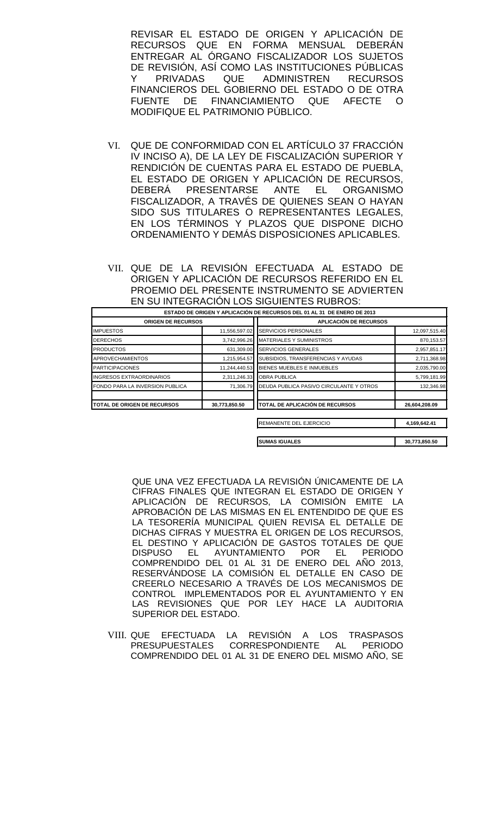REVISAR EL ESTADO DE ORIGEN Y APLICACIÓN DE RECURSOS QUE EN FORMA MENSUAL DEBERÁN ENTREGAR AL ÓRGANO FISCALIZADOR LOS SUJETOS DE REVISIÓN, ASÍ COMO LAS INSTITUCIONES PÚBLICAS Y PRIVADAS QUE ADMINISTREN RECURSOS FINANCIEROS DEL GOBIERNO DEL ESTADO O DE OTRA FUENTE DE FINANCIAMIENTO QUE AFECTE O MODIFIQUE EL PATRIMONIO PÚBLICO.

- VI. QUE DE CONFORMIDAD CON EL ARTÍCULO 37 FRACCIÓN IV INCISO A), DE LA LEY DE FISCALIZACIÓN SUPERIOR Y RENDICIÓN DE CUENTAS PARA EL ESTADO DE PUEBLA, EL ESTADO DE ORIGEN Y APLICACIÓN DE RECURSOS, DEBERÁ PRESENTARSE ANTE EL ORGANISMO FISCALIZADOR, A TRAVÉS DE QUIENES SEAN O HAYAN SIDO SUS TITULARES O REPRESENTANTES LEGALES, EN LOS TÉRMINOS Y PLAZOS QUE DISPONE DICHO ORDENAMIENTO Y DEMÁS DISPOSICIONES APLICABLES.
- VII. QUE DE LA REVISIÓN EFECTUADA AL ESTADO DE ORIGEN Y APLICACIÓN DE RECURSOS REFERIDO EN EL PROEMIO DEL PRESENTE INSTRUMENTO SE ADVIERTEN EN SU INTEGRACIÓN LOS SIGUIENTES RUBROS:

|                                    |               | ESTADO DE ORIGEN Y APLICACIÓN DE RECURSOS DEL 01 AL 31 DE ENERO DE 2013 |               |
|------------------------------------|---------------|-------------------------------------------------------------------------|---------------|
| <b>ORIGEN DE RECURSOS</b>          |               | <b>APLICACIÓN DE RECURSOS</b>                                           |               |
| <b>IMPUESTOS</b>                   | 11,556,597.02 | SERVICIOS PERSONALES                                                    | 12,097,515.40 |
| <b>DERECHOS</b>                    | 3,742,996.26  | <b>MATERIALES Y SUMINISTROS</b>                                         | 870,153.57    |
| <b>PRODUCTOS</b>                   | 631,309.00    | <b>SERVICIOS GENERALES</b>                                              | 2,957,851.17  |
| <b>APROVECHAMIENTOS</b>            | 1,215,954.57  | SUBSIDIOS, TRANSFERENCIAS Y AYUDAS                                      | 2,711,368.98  |
| <b>PARTICIPACIONES</b>             | 11,244,440.53 | BIENES MUEBLES E INMUEBLES                                              | 2,035,790.00  |
| INGRESOS EXTRAORDINARIOS           | 2,311,246.33  | <b>OBRA PUBLICA</b>                                                     | 5,799,181.99  |
| FONDO PARA LA INVERSION PUBLICA    | 71,306.79     | DEUDA PUBLICA PASIVO CIRCULANTE Y OTROS                                 | 132,346.98    |
| <b>TOTAL DE ORIGEN DE RECURSOS</b> | 30,773,850.50 | <b>ITOTAL DE APLICACIÓN DE RECURSOS</b>                                 | 26,604,208.09 |
|                                    |               | REMANENTE DEL EJERCICIO                                                 | 4,169,642.41  |

**SUMAS IGUALES 30,773,850.50**

QUE UNA VEZ EFECTUADA LA REVISIÓN ÚNICAMENTE DE LA CIFRAS FINALES QUE INTEGRAN EL ESTADO DE ORIGEN Y APLICACIÓN DE RECURSOS, LA COMISIÓN EMITE LA APROBACIÓN DE LAS MISMAS EN EL ENTENDIDO DE QUE ES LA TESORERÍA MUNICIPAL QUIEN REVISA EL DETALLE DE DICHAS CIFRAS Y MUESTRA EL ORIGEN DE LOS RECURSOS, EL DESTINO Y APLICACIÓN DE GASTOS TOTALES DE QUE<br>DISPUSO EL AYUNTAMIENTO POR EL PERIODO AYUNTAMIENTO COMPRENDIDO DEL 01 AL 31 DE ENERO DEL AÑO 2013, RESERVÁNDOSE LA COMISIÓN EL DETALLE EN CASO DE CREERLO NECESARIO A TRAVÉS DE LOS MECANISMOS DE CONTROL IMPLEMENTADOS POR EL AYUNTAMIENTO Y EN LAS REVISIONES QUE POR LEY HACE LA AUDITORIA SUPERIOR DEL ESTADO.

VIII. QUE EFECTUADA LA REVISIÓN A LOS TRASPASOS CORRESPONDIENTE AL PERIODO COMPRENDIDO DEL 01 AL 31 DE ENERO DEL MISMO AÑO, SE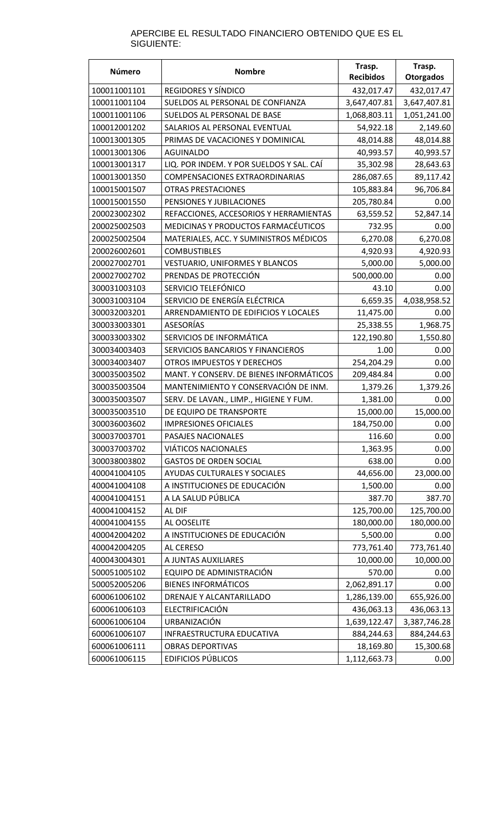#### APERCIBE EL RESULTADO FINANCIERO OBTENIDO QUE ES EL SIGUIENTE:

| Número       | <b>Nombre</b>                            | Trasp.<br><b>Recibidos</b> | Trasp.<br><b>Otorgados</b> |
|--------------|------------------------------------------|----------------------------|----------------------------|
| 100011001101 | <b>REGIDORES Y SÍNDICO</b>               | 432,017.47                 | 432,017.47                 |
| 100011001104 | SUELDOS AL PERSONAL DE CONFIANZA         | 3,647,407.81               | 3,647,407.81               |
| 100011001106 | SUELDOS AL PERSONAL DE BASE              | 1,068,803.11               | 1,051,241.00               |
| 100012001202 | SALARIOS AL PERSONAL EVENTUAL            | 54,922.18                  | 2,149.60                   |
| 100013001305 | PRIMAS DE VACACIONES Y DOMINICAL         | 48,014.88                  | 48,014.88                  |
| 100013001306 | <b>AGUINALDO</b>                         | 40,993.57                  | 40,993.57                  |
| 100013001317 | LIQ. POR INDEM. Y POR SUELDOS Y SAL. CAÍ | 35,302.98                  | 28,643.63                  |
| 100013001350 | COMPENSACIONES EXTRAORDINARIAS           | 286,087.65                 | 89,117.42                  |
| 100015001507 | <b>OTRAS PRESTACIONES</b>                | 105,883.84                 | 96,706.84                  |
| 100015001550 | PENSIONES Y JUBILACIONES                 | 205,780.84                 | 0.00                       |
| 200023002302 | REFACCIONES, ACCESORIOS Y HERRAMIENTAS   | 63,559.52                  | 52,847.14                  |
| 200025002503 | MEDICINAS Y PRODUCTOS FARMACÉUTICOS      | 732.95                     | 0.00                       |
| 200025002504 | MATERIALES, ACC. Y SUMINISTROS MÉDICOS   | 6,270.08                   | 6,270.08                   |
| 200026002601 | <b>COMBUSTIBLES</b>                      | 4,920.93                   | 4,920.93                   |
| 200027002701 | VESTUARIO, UNIFORMES Y BLANCOS           | 5,000.00                   | 5,000.00                   |
| 200027002702 | PRENDAS DE PROTECCIÓN                    | 500,000.00                 | 0.00                       |
| 300031003103 | SERVICIO TELEFÓNICO                      | 43.10                      | 0.00                       |
| 300031003104 | SERVICIO DE ENERGÍA ELÉCTRICA            | 6,659.35                   | 4,038,958.52               |
| 300032003201 | ARRENDAMIENTO DE EDIFICIOS Y LOCALES     | 11,475.00                  | 0.00                       |
| 300033003301 | <b>ASESORÍAS</b>                         | 25,338.55                  | 1,968.75                   |
| 300033003302 | SERVICIOS DE INFORMÁTICA                 | 122,190.80                 | 1,550.80                   |
| 300034003403 | SERVICIOS BANCARIOS Y FINANCIEROS        | 1.00                       | 0.00                       |
| 300034003407 | OTROS IMPUESTOS Y DERECHOS               | 254,204.29                 | 0.00                       |
| 300035003502 | MANT. Y CONSERV. DE BIENES INFORMÁTICOS  | 209,484.84                 | 0.00                       |
| 300035003504 | MANTENIMIENTO Y CONSERVACIÓN DE INM.     | 1,379.26                   | 1,379.26                   |
| 300035003507 | SERV. DE LAVAN., LIMP., HIGIENE Y FUM.   | 1,381.00                   | 0.00                       |
| 300035003510 | DE EQUIPO DE TRANSPORTE                  | 15,000.00                  | 15,000.00                  |
| 300036003602 | <b>IMPRESIONES OFICIALES</b>             | 184,750.00                 | $0.00^{\circ}$             |
| 300037003701 | PASAJES NACIONALES                       | 116.60                     | 0.00                       |
| 300037003702 | <b>VIÁTICOS NACIONALES</b>               | 1,363.95                   | 0.00                       |
| 300038003802 | <b>GASTOS DE ORDEN SOCIAL</b>            | 638.00                     | 0.00                       |
| 400041004105 | AYUDAS CULTURALES Y SOCIALES             | 44,656.00                  | 23,000.00                  |
| 400041004108 | A INSTITUCIONES DE EDUCACIÓN             | 1,500.00                   | 0.00                       |
| 400041004151 | A LA SALUD PÚBLICA                       | 387.70                     | 387.70                     |
| 400041004152 | AL DIF                                   | 125,700.00                 | 125,700.00                 |
| 400041004155 | AL OOSELITE                              | 180,000.00                 | 180,000.00                 |
| 400042004202 | A INSTITUCIONES DE EDUCACIÓN             | 5,500.00                   | 0.00                       |
| 400042004205 | AL CERESO                                | 773,761.40                 | 773,761.40                 |
| 400043004301 | A JUNTAS AUXILIARES                      | 10,000.00                  | 10,000.00                  |
| 500051005102 | EQUIPO DE ADMINISTRACIÓN                 | 570.00                     | 0.00                       |
| 500052005206 | <b>BIENES INFORMÁTICOS</b>               | 2,062,891.17               | 0.00                       |
| 600061006102 | DRENAJE Y ALCANTARILLADO                 | 1,286,139.00               | 655,926.00                 |
| 600061006103 | ELECTRIFICACIÓN                          | 436,063.13                 | 436,063.13                 |
| 600061006104 | URBANIZACIÓN                             | 1,639,122.47               | 3,387,746.28               |
| 600061006107 | INFRAESTRUCTURA EDUCATIVA                | 884,244.63                 | 884,244.63                 |
| 600061006111 | <b>OBRAS DEPORTIVAS</b>                  | 18,169.80                  | 15,300.68                  |
| 600061006115 | <b>EDIFICIOS PÚBLICOS</b>                | 1,112,663.73               | 0.00                       |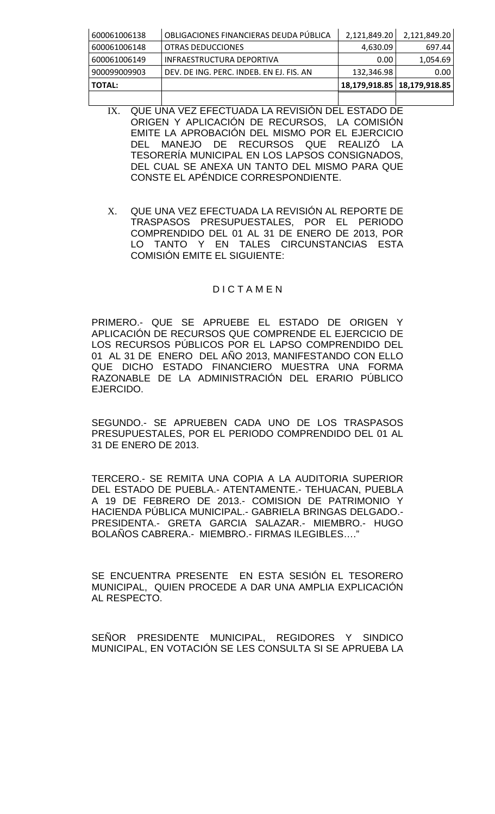| 600061006138  | OBLIGACIONES FINANCIERAS DEUDA PÚBLICA   | 2,121,849.20 | 2,121,849.20                  |
|---------------|------------------------------------------|--------------|-------------------------------|
| 600061006148  | OTRAS DEDUCCIONES                        | 4,630.09     | 697.44                        |
| 600061006149  | INFRAESTRUCTURA DEPORTIVA                | 0.00         | 1,054.69                      |
| 900099009903  | DEV. DE ING. PERC. INDEB. EN EJ. FIS. AN | 132,346.98   | 0.00 <sub>1</sub>             |
| <b>TOTAL:</b> |                                          |              | 18,179,918.85   18,179,918.85 |
|               |                                          |              |                               |

- IX. QUE UNA VEZ EFECTUADA LA REVISIÓN DEL ESTADO DE ORIGEN Y APLICACIÓN DE RECURSOS, LA COMISIÓN EMITE LA APROBACIÓN DEL MISMO POR EL EJERCICIO DEL MANEJO DE RECURSOS QUE REALIZÓ LA TESORERÍA MUNICIPAL EN LOS LAPSOS CONSIGNADOS, DEL CUAL SE ANEXA UN TANTO DEL MISMO PARA QUE CONSTE EL APÉNDICE CORRESPONDIENTE.
- X. QUE UNA VEZ EFECTUADA LA REVISIÓN AL REPORTE DE TRASPASOS PRESUPUESTALES, POR EL PERIODO COMPRENDIDO DEL 01 AL 31 DE ENERO DE 2013, POR LO TANTO Y EN TALES CIRCUNSTANCIAS ESTA COMISIÓN EMITE EL SIGUIENTE:

### D I C T A M E N

PRIMERO.- QUE SE APRUEBE EL ESTADO DE ORIGEN Y APLICACIÓN DE RECURSOS QUE COMPRENDE EL EJERCICIO DE LOS RECURSOS PÚBLICOS POR EL LAPSO COMPRENDIDO DEL 01 AL 31 DE ENERO DEL AÑO 2013, MANIFESTANDO CON ELLO QUE DICHO ESTADO FINANCIERO MUESTRA UNA FORMA RAZONABLE DE LA ADMINISTRACIÓN DEL ERARIO PÚBLICO EJERCIDO.

SEGUNDO.- SE APRUEBEN CADA UNO DE LOS TRASPASOS PRESUPUESTALES, POR EL PERIODO COMPRENDIDO DEL 01 AL 31 DE ENERO DE 2013.

TERCERO.- SE REMITA UNA COPIA A LA AUDITORIA SUPERIOR DEL ESTADO DE PUEBLA.- ATENTAMENTE.- TEHUACAN, PUEBLA A 19 DE FEBRERO DE 2013.- COMISION DE PATRIMONIO Y HACIENDA PÚBLICA MUNICIPAL.- GABRIELA BRINGAS DELGADO.- PRESIDENTA.- GRETA GARCIA SALAZAR.- MIEMBRO.- HUGO BOLAÑOS CABRERA.- MIEMBRO.- FIRMAS ILEGIBLES…."

SE ENCUENTRA PRESENTE EN ESTA SESIÓN EL TESORERO MUNICIPAL, QUIEN PROCEDE A DAR UNA AMPLIA EXPLICACIÓN AL RESPECTO.

SEÑOR PRESIDENTE MUNICIPAL, REGIDORES Y SINDICO MUNICIPAL, EN VOTACIÓN SE LES CONSULTA SI SE APRUEBA LA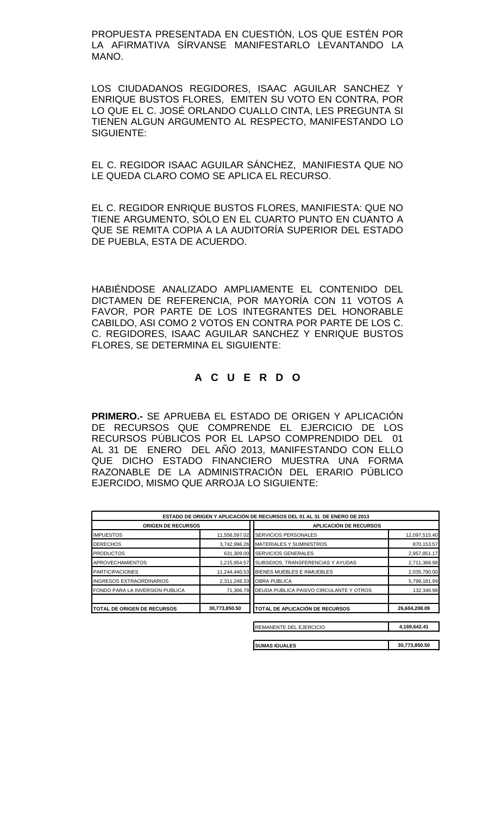PROPUESTA PRESENTADA EN CUESTIÓN, LOS QUE ESTÉN POR LA AFIRMATIVA SÍRVANSE MANIFESTARLO LEVANTANDO LA MANO.

LOS CIUDADANOS REGIDORES, ISAAC AGUILAR SANCHEZ Y ENRIQUE BUSTOS FLORES, EMITEN SU VOTO EN CONTRA, POR LO QUE EL C. JOSÉ ORLANDO CUALLO CINTA, LES PREGUNTA SI TIENEN ALGUN ARGUMENTO AL RESPECTO, MANIFESTANDO LO SIGUIENTE:

EL C. REGIDOR ISAAC AGUILAR SÁNCHEZ, MANIFIESTA QUE NO LE QUEDA CLARO COMO SE APLICA EL RECURSO.

EL C. REGIDOR ENRIQUE BUSTOS FLORES, MANIFIESTA: QUE NO TIENE ARGUMENTO, SÓLO EN EL CUARTO PUNTO EN CUANTO A QUE SE REMITA COPIA A LA AUDITORÍA SUPERIOR DEL ESTADO DE PUEBLA, ESTA DE ACUERDO.

HABIÉNDOSE ANALIZADO AMPLIAMENTE EL CONTENIDO DEL DICTAMEN DE REFERENCIA, POR MAYORÍA CON 11 VOTOS A FAVOR, POR PARTE DE LOS INTEGRANTES DEL HONORABLE CABILDO, ASI COMO 2 VOTOS EN CONTRA POR PARTE DE LOS C. C. REGIDORES, ISAAC AGUILAR SANCHEZ Y ENRIQUE BUSTOS FLORES, SE DETERMINA EL SIGUIENTE:

# **A C U E R D O**

**PRIMERO.-** SE APRUEBA EL ESTADO DE ORIGEN Y APLICACIÓN DE RECURSOS QUE COMPRENDE EL EJERCICIO DE LOS RECURSOS PÚBLICOS POR EL LAPSO COMPRENDIDO DEL 01 AL 31 DE ENERO DEL AÑO 2013, MANIFESTANDO CON ELLO QUE DICHO ESTADO FINANCIERO MUESTRA UNA FORMA RAZONABLE DE LA ADMINISTRACIÓN DEL ERARIO PÚBLICO EJERCIDO, MISMO QUE ARROJA LO SIGUIENTE:

|                                 |               | ESTADO DE ORIGEN Y APLICACIÓN DE RECURSOS DEL 01 AL 31 DE ENERO DE 2013 |               |
|---------------------------------|---------------|-------------------------------------------------------------------------|---------------|
| <b>ORIGEN DE RECURSOS</b>       |               | <b>APLICACIÓN DE RECURSOS</b>                                           |               |
| <b>IMPUESTOS</b>                | 11,556,597.02 | <b>SERVICIOS PERSONALES</b>                                             | 12,097,515.40 |
| <b>DERECHOS</b>                 | 3,742,996.26  | <b>MATERIALES Y SUMINISTROS</b>                                         | 870,153.57    |
| <b>PRODUCTOS</b>                | 631,309.00    | <b>ISERVICIOS GENERALES</b>                                             | 2,957,851.17  |
| <b>APROVECHAMIENTOS</b>         | 1,215,954.57  | SUBSIDIOS, TRANSFERENCIAS Y AYUDAS                                      | 2,711,368.98  |
| <b>PARTICIPACIONES</b>          | 11,244,440.53 | BIENES MUEBLES E INMUEBLES                                              | 2,035,790.00  |
| <b>INGRESOS EXTRAORDINARIOS</b> | 2,311,246.33  | <b>OBRA PUBLICA</b>                                                     | 5,799,181.99  |
| FONDO PARA LA INVERSION PUBLICA | 71.306.79     | DEUDA PUBLICA PASIVO CIRCULANTE Y OTROS                                 | 132,346.98    |
| TOTAL DE ORIGEN DE RECURSOS     | 30,773,850.50 | <b>TOTAL DE APLICACIÓN DE RECURSOS</b>                                  | 26,604,208.09 |
|                                 |               | REMANENTE DEL EJERCICIO                                                 | 4,169,642.41  |

| <b>I</b> SUMAS IGUALES | 30.773.850.50 |
|------------------------|---------------|
|                        |               |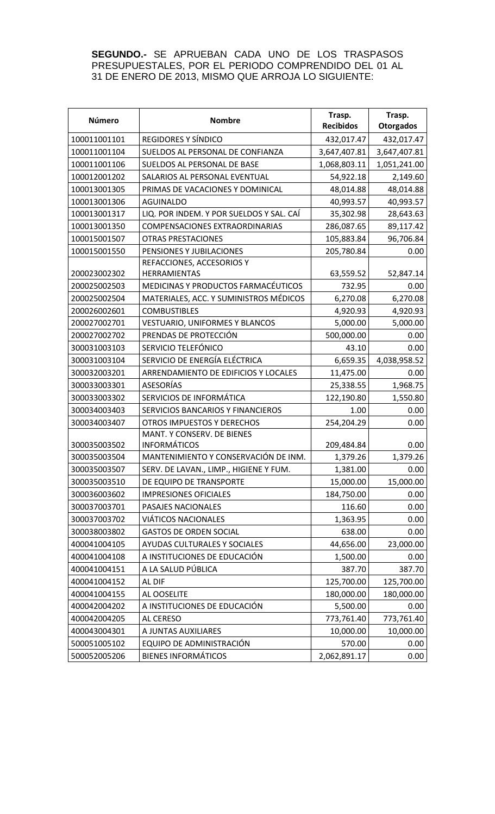**SEGUNDO.-** SE APRUEBAN CADA UNO DE LOS TRASPASOS PRESUPUESTALES, POR EL PERIODO COMPRENDIDO DEL 01 AL 31 DE ENERO DE 2013, MISMO QUE ARROJA LO SIGUIENTE:

| Número       | <b>Nombre</b>                            | Trasp.<br><b>Recibidos</b> | Trasp.<br><b>Otorgados</b> |
|--------------|------------------------------------------|----------------------------|----------------------------|
| 100011001101 | REGIDORES Y SÍNDICO                      | 432,017.47                 | 432,017.47                 |
| 100011001104 | SUELDOS AL PERSONAL DE CONFIANZA         | 3,647,407.81               | 3,647,407.81               |
| 100011001106 | SUELDOS AL PERSONAL DE BASE              | 1,068,803.11               | 1,051,241.00               |
| 100012001202 | SALARIOS AL PERSONAL EVENTUAL            | 54,922.18                  | 2,149.60                   |
| 100013001305 | PRIMAS DE VACACIONES Y DOMINICAL         | 48,014.88                  | 48,014.88                  |
| 100013001306 | <b>AGUINALDO</b>                         | 40,993.57                  | 40,993.57                  |
| 100013001317 | LIQ. POR INDEM. Y POR SUELDOS Y SAL. CAÍ | 35,302.98                  | 28,643.63                  |
| 100013001350 | COMPENSACIONES EXTRAORDINARIAS           | 286,087.65                 | 89,117.42                  |
| 100015001507 | <b>OTRAS PRESTACIONES</b>                | 105,883.84                 | 96,706.84                  |
| 100015001550 | PENSIONES Y JUBILACIONES                 | 205,780.84                 | 0.00                       |
|              | REFACCIONES, ACCESORIOS Y                |                            |                            |
| 200023002302 | <b>HERRAMIENTAS</b>                      | 63,559.52                  | 52,847.14                  |
| 200025002503 | MEDICINAS Y PRODUCTOS FARMACÉUTICOS      | 732.95                     | 0.00                       |
| 200025002504 | MATERIALES, ACC. Y SUMINISTROS MÉDICOS   | 6,270.08                   | 6,270.08                   |
| 200026002601 | <b>COMBUSTIBLES</b>                      | 4,920.93                   | 4,920.93                   |
| 200027002701 | <b>VESTUARIO, UNIFORMES Y BLANCOS</b>    | 5,000.00                   | 5,000.00                   |
| 200027002702 | PRENDAS DE PROTECCIÓN                    | 500,000.00                 | 0.00                       |
| 300031003103 | SERVICIO TELEFÓNICO                      | 43.10                      | 0.00                       |
| 300031003104 | SERVICIO DE ENERGÍA ELÉCTRICA            | 6,659.35                   | 4,038,958.52               |
| 300032003201 | ARRENDAMIENTO DE EDIFICIOS Y LOCALES     | 11,475.00                  | 0.00                       |
| 300033003301 | <b>ASESORÍAS</b>                         | 25,338.55                  | 1,968.75                   |
| 300033003302 | SERVICIOS DE INFORMÁTICA                 | 122,190.80                 | 1,550.80                   |
| 300034003403 | SERVICIOS BANCARIOS Y FINANCIEROS        | 1.00                       | 0.00                       |
| 300034003407 | <b>OTROS IMPUESTOS Y DERECHOS</b>        | 254,204.29                 | 0.00                       |
|              | MANT. Y CONSERV. DE BIENES               |                            |                            |
| 300035003502 | <b>INFORMÁTICOS</b>                      | 209,484.84                 | 0.00                       |
| 300035003504 | MANTENIMIENTO Y CONSERVACIÓN DE INM.     | 1,379.26                   | 1,379.26                   |
| 300035003507 | SERV. DE LAVAN., LIMP., HIGIENE Y FUM.   | 1,381.00                   | 0.00                       |
| 300035003510 | DE EQUIPO DE TRANSPORTE                  | 15,000.00                  | 15,000.00                  |
| 300036003602 | <b>IMPRESIONES OFICIALES</b>             | 184,750.00                 | 0.00                       |
| 300037003701 | PASAJES NACIONALES                       | 116.60                     | 0.00                       |
| 300037003702 | <b>VIÁTICOS NACIONALES</b>               | 1,363.95                   | 0.00                       |
| 300038003802 | <b>GASTOS DE ORDEN SOCIAL</b>            | 638.00                     | 0.00                       |
| 400041004105 | AYUDAS CULTURALES Y SOCIALES             | 44,656.00                  | 23,000.00                  |
| 400041004108 | A INSTITUCIONES DE EDUCACIÓN             | 1,500.00                   | 0.00                       |
| 400041004151 | A LA SALUD PÚBLICA                       | 387.70                     | 387.70                     |
| 400041004152 | AL DIF                                   | 125,700.00                 | 125,700.00                 |
| 400041004155 | AL OOSELITE                              | 180,000.00                 | 180,000.00                 |
| 400042004202 | A INSTITUCIONES DE EDUCACIÓN             | 5,500.00                   | 0.00                       |
| 400042004205 | AL CERESO                                | 773,761.40                 | 773,761.40                 |
| 400043004301 | A JUNTAS AUXILIARES                      | 10,000.00                  | 10,000.00                  |
| 500051005102 | EQUIPO DE ADMINISTRACIÓN                 | 570.00                     | 0.00                       |
| 500052005206 | <b>BIENES INFORMÁTICOS</b>               | 2,062,891.17               | 0.00                       |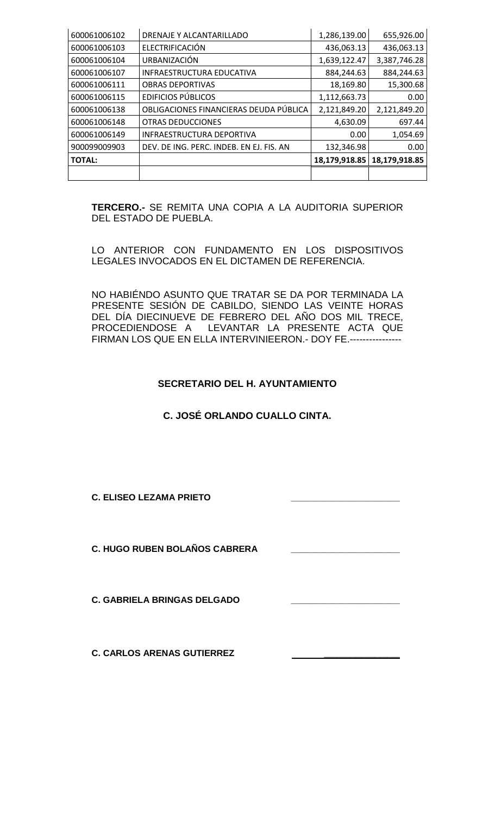| 600061006102  | DRENAJE Y ALCANTARILLADO                 | 1,286,139.00  | 655,926.00    |
|---------------|------------------------------------------|---------------|---------------|
| 600061006103  | ELECTRIFICACIÓN                          | 436,063.13    | 436,063.13    |
| 600061006104  | URBANIZACIÓN                             | 1,639,122.47  | 3,387,746.28  |
| 600061006107  | INFRAESTRUCTURA EDUCATIVA                | 884,244.63    | 884,244.63    |
| 600061006111  | <b>OBRAS DEPORTIVAS</b>                  | 18,169.80     | 15,300.68     |
| 600061006115  | <b>EDIFICIOS PÚBLICOS</b>                | 1,112,663.73  | 0.00          |
| 600061006138  | OBLIGACIONES FINANCIERAS DEUDA PÚBLICA   | 2,121,849.20  | 2,121,849.20  |
| 600061006148  | <b>OTRAS DEDUCCIONES</b>                 | 4,630.09      | 697.44        |
| 600061006149  | INFRAESTRUCTURA DEPORTIVA                | 0.00          | 1,054.69      |
| 900099009903  | DEV. DE ING. PERC. INDEB. EN EJ. FIS. AN | 132,346.98    | 0.00          |
| <b>TOTAL:</b> |                                          | 18,179,918.85 | 18,179,918.85 |
|               |                                          |               |               |

**TERCERO.-** SE REMITA UNA COPIA A LA AUDITORIA SUPERIOR DEL ESTADO DE PUEBLA.

LO ANTERIOR CON FUNDAMENTO EN LOS DISPOSITIVOS LEGALES INVOCADOS EN EL DICTAMEN DE REFERENCIA.

NO HABIÉNDO ASUNTO QUE TRATAR SE DA POR TERMINADA LA PRESENTE SESIÓN DE CABILDO, SIENDO LAS VEINTE HORAS DEL DÍA DIECINUEVE DE FEBRERO DEL AÑO DOS MIL TRECE, PROCEDIENDOSE A LEVANTAR LA PRESENTE ACTA QUE FIRMAN LOS QUE EN ELLA INTERVINIEERON.- DOY FE.----------------

## **SECRETARIO DEL H. AYUNTAMIENTO**

## **C. JOSÉ ORLANDO CUALLO CINTA.**

**C. ELISEO LEZAMA PRIETO \_\_\_\_\_\_\_\_\_\_\_\_\_\_\_\_\_\_\_\_\_\_**

**C. HUGO RUBEN BOLAÑOS CABRERA \_\_\_\_\_\_\_\_\_\_\_\_\_\_\_\_\_\_\_\_\_\_**

**C. GABRIELA BRINGAS DELGADO** 

**C. CARLOS ARENAS GUTIERREZ \_\_\_\_\_\_\_\_\_\_\_\_**